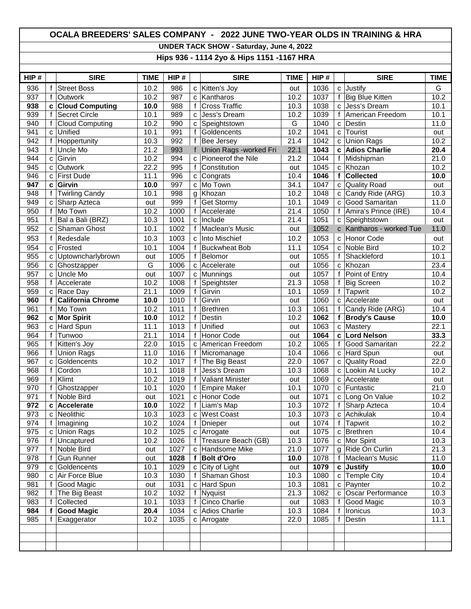## **OCALA BREEDERS' SALES COMPANY - 2022 JUNE TWO-YEAR OLDS IN TRAINING & HRA**

**UNDER TACK SHOW - Saturday, June 4, 2022**

**Hips 936 - 1114 2yo & Hips 1151 -1167 HRA**

| HIP# |              | <b>SIRE</b>              | <b>TIME</b>    | HIP# |                | <b>SIRE</b>              | <b>TIME</b> | HIP# |              | <b>SIRE</b>              | <b>TIME</b> |
|------|--------------|--------------------------|----------------|------|----------------|--------------------------|-------------|------|--------------|--------------------------|-------------|
| 936  | f            | <b>Street Boss</b>       | 10.2           | 986  | C              | Kitten's Joy             | out         | 1036 | C            | Justify                  | G           |
| 937  | $\mathsf{f}$ | Outwork                  | 10.2           | 987  | C              | Kantharos                | 10.2        | 1037 | f            | <b>Big Blue Kitten</b>   | 10.2        |
| 938  | C            | <b>Cloud Computing</b>   | 10.0           | 988  | f              | <b>Cross Traffic</b>     | 10.3        | 1038 | $\mathbf{C}$ | Jess's Dream             | 10.1        |
| 939  | f            | <b>Secret Circle</b>     | 10.1           | 989  | $\mathbf{C}$   | Jess's Dream             | 10.2        | 1039 | f            | American Freedom         | 10.1        |
| 940  | f            | Cloud Computing          | 10.2           | 990  | c              | Speightstown             | G           | 1040 | $\mathbf{C}$ | Destin                   | 11.0        |
| 941  | $\mathbf{C}$ | Unified                  | 10.1           | 991  | f              | Goldencents              | 10.2        | 1041 | $\mathbf{C}$ | Tourist                  | out         |
| 942  | f            | Hoppertunity             | 10.3           | 992  | f              | Bee Jersey               | 21.4        | 1042 | C            | <b>Union Rags</b>        | 10.2        |
| 943  | $\mathsf f$  | Uncle Mo                 | 21.2           | 993  |                | f Union Rags -worked Fri | 22.1        | 1043 | C            | <b>Adios Charlie</b>     | 20.4        |
| 944  | $\mathbf{C}$ | Girvin                   | 10.2           | 994  | C              | Pioneerof the Nile       | 21.2        | 1044 | f            | Midshipman               | 21.0        |
| 945  | C            | Outwork                  | 22.2           | 995  | $\mathbf{f}$   | Constitution             | out         | 1045 | $\mathbf{C}$ | Khozan                   | 10.2        |
| 946  | C            | <b>First Dude</b>        | 11.1           | 996  | c              | Congrats                 | 10.4        | 1046 | f            | <b>Collected</b>         | 10.0        |
| 947  | C            | Girvin                   | 10.0           | 997  | C              | Mo Town                  | 34.1        | 1047 | C            | <b>Quality Road</b>      | out         |
| 948  | f            | <b>Twirling Candy</b>    | 10.1           | 998  | g              | Khozan                   | 10.2        | 1048 | C            | Candy Ride (ARG)         | 10.3        |
| 949  | $\mathbf c$  | Sharp Azteca             | out            | 999  | f              | <b>Get Stormy</b>        | 10.1        | 1049 | C            | Good Samaritan           | 11.0        |
| 950  | $\mathbf{f}$ | Mo Town                  | 10.2           | 1000 | f              | Accelerate               | 21.4        | 1050 | f            | Amira's Prince (IRE)     | 10.4        |
| 951  | f            | Bal a Bali (BRZ)         | 10.3           | 1001 | c              | Include                  | 21.4        | 1051 | C            | Speightstown             | out         |
| 952  | C            | Shaman Ghost             | 10.1           | 1002 | f              | Maclean's Music          | out         | 1052 |              | c Kantharos - worked Tue | 11.0        |
| 953  | f            | Redesdale                | 10.3           | 1003 | C              | Into Mischief            | 10.2        | 1053 | C            | Honor Code               | out         |
| 954  | $\mathbf c$  | Frosted                  | 10.1           | 1004 | f              | <b>Buckwheat Bob</b>     | 11.1        | 1054 | C            | Noble Bird               | 10.2        |
| 955  | $\mathbf c$  | Uptowncharlybrown        | out            | 1005 | f              | Belomor                  | out         | 1055 | f            | Shackleford              | 10.1        |
| 956  | C            | Ghostzapper              | $\overline{G}$ | 1006 | $\mathbf{C}$   | Accelerate               | out         | 1056 | $\mathbf{C}$ | Khozan                   | 23.4        |
| 957  | $\mathbf c$  | Uncle Mo                 | out            | 1007 | c              | Munnings                 | out         | 1057 | f            | Point of Entry           | 10.4        |
| 958  | $\mathbf{f}$ | Accelerate               | 10.2           | 1008 | $\overline{f}$ | Speightster              | 21.3        | 1058 | f            | <b>Big Screen</b>        | 10.2        |
| 959  | $\mathbf c$  | Race Day                 | 21.1           | 1009 | f              | Girvin                   | 10.1        | 1059 | f            | <b>Tapwrit</b>           | 10.2        |
| 960  | f            | <b>California Chrome</b> | 10.0           | 1010 | f              | Girvin                   | out         | 1060 | C            | Accelerate               | out         |
| 961  | f            | Mo Town                  | 10.2           | 1011 | f              | Brethren                 | 10.3        | 1061 | f            | Candy Ride (ARG)         | 10.4        |
| 962  | c            | <b>Mor Spirit</b>        | 10.0           | 1012 | f              | Destin                   | 10.2        | 1062 | f            | <b>Brody's Cause</b>     | 10.0        |
| 963  | C            | Hard Spun                | 11.1           | 1013 | f              | Unified                  | out         | 1063 | $\mathbf{C}$ | Mastery                  | 22.1        |
| 964  | $\mathsf{f}$ | Tunwoo                   | 21.1           | 1014 | f              | Honor Code               | out         | 1064 | $\mathbf{c}$ | <b>Lord Nelson</b>       | 33.3        |
| 965  | f            | Kitten's Joy             | 22.0           | 1015 | $\mathbf{C}$   | American Freedom         | 10.2        | 1065 | $\mathsf{f}$ | Good Samaritan           | 22.2        |
| 966  | f            | Union Rags               | 11.0           | 1016 | f              | Micromanage              | 10.4        | 1066 | $\mathbf{C}$ | Hard Spun                | out         |
| 967  | C            | Goldencents              | 10.2           | 1017 | $\mathsf{f}$   | The Big Beast            | 22.0        | 1067 | c            | <b>Quality Road</b>      | 22.0        |
| 968  | $\mathsf{f}$ | Cordon                   | 10.1           | 1018 | f              | Jess's Dream             | 10.3        | 1068 | c            | Lookin At Lucky          | 10.2        |
| 969  | $\mathsf{f}$ | Klimt                    | 10.2           | 1019 | f              | <b>Valiant Minister</b>  | out         | 1069 | C            | Accelerate               | out         |
| 970  | f            | Ghostzapper              | 10.1           | 1020 | f              | <b>Empire Maker</b>      | 10.1        | 1070 | C            | Funtastic                | 21.0        |
| 971  | f            | Noble Bird               | out            | 1021 | C              | Honor Code               | out         | 1071 | C            | Long On Value            | 10.2        |
| 972  | C            | <b>Accelerate</b>        | 10.0           | 1022 | f              | Liam's Map               | 10.3        | 1072 | f            | Sharp Azteca             | 10.4        |
| 973  |              | c Neolithic              | 10.3           | 1023 | C              | <b>West Coast</b>        | 10.3        | 1073 | C            | Achikulak                | 10.4        |
| 974  | f            | Imagining                | 10.2           | 1024 |                | f Dnieper                | out         | 1074 |              | f Tapwrit                | 10.2        |
| 975  | C            | <b>Union Rags</b>        | 10.2           | 1025 | $\mathbf{C}$   | Arrogate                 | out         | 1075 | C            | Brethren                 | 10.4        |
| 976  | f            | Uncaptured               | 10.2           | 1026 |                | f   Treasure Beach (GB)  | 10.3        | 1076 | ${\bf c}$    | Mor Spirit               | 10.3        |
| 977  | f            | Noble Bird               | out            | 1027 | $\mathtt{C}$   | Handsome Mike            | 21.0        | 1077 | g            | Ride On Curlin           | 21.3        |
| 978  | f            | <b>Gun Runner</b>        | out            | 1028 |                | f Bolt d'Oro             | 10.0        | 1078 | f            | Maclean's Music          | 11.0        |
| 979  | C            | Goldencents              | 10.1           | 1029 | C              | City of Light            | out         | 1079 | c            | Justify                  | 10.0        |
| 980  | C            | Air Force Blue           | 10.3           | 1030 | $\mathsf{f}$   | Shaman Ghost             | 10.3        | 1080 | c            | <b>Temple City</b>       | 10.4        |
| 981  | f            | Good Magic               | out            | 1031 | c              | Hard Spun                | 10.3        | 1081 | C            | Paynter                  | 10.2        |
| 982  | f            | The Big Beast            | 10.2           | 1032 | f              | Nyquist                  | 21.3        | 1082 | C            | Oscar Performance        | 10.3        |
| 983  | f            | Collected                | 10.1           | 1033 |                | f Cinco Charlie          | out         | 1083 | f            | Good Magic               | 10.3        |
| 984  | f            | <b>Good Magic</b>        | 20.4           | 1034 |                | c Adios Charlie          | 10.3        | 1084 | f            | Ironicus                 | 10.3        |
| 985  | f            | Exaggerator              | 10.2           | 1035 | C              | Arrogate                 | 22.0        | 1085 | f            | Destin                   | 11.1        |
|      |              |                          |                |      |                |                          |             |      |              |                          |             |
|      |              |                          |                |      |                |                          |             |      |              |                          |             |
|      |              |                          |                |      |                |                          |             |      |              |                          |             |